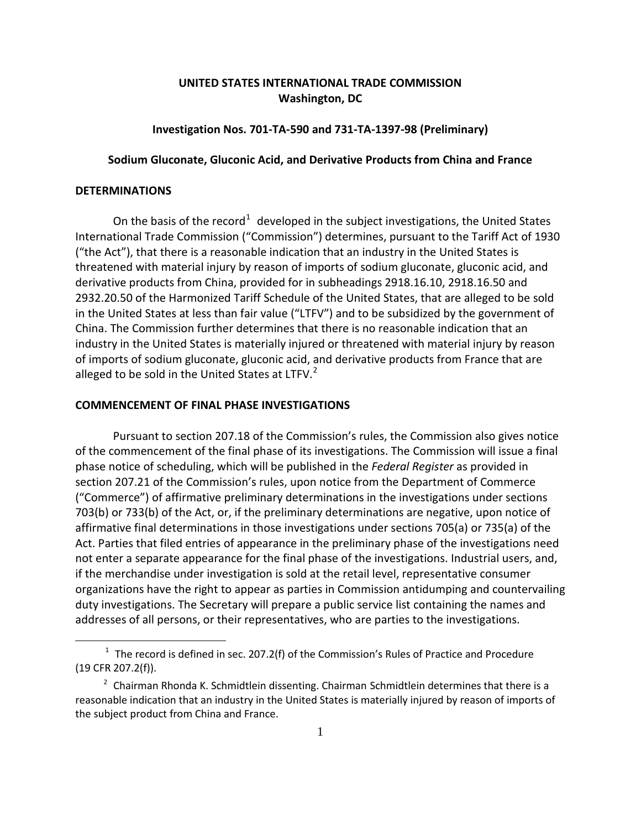# **UNITED STATES INTERNATIONAL TRADE COMMISSION Washington, DC**

## **Investigation Nos. 701-TA-590 and 731-TA-1397-98 (Preliminary)**

## **Sodium Gluconate, Gluconic Acid, and Derivative Products from China and France**

# **DETERMINATIONS**

 $\overline{a}$ 

On the basis of the record<sup>[1](#page-0-0)</sup> developed in the subject investigations, the United States International Trade Commission ("Commission") determines, pursuant to the Tariff Act of 1930 ("the Act"), that there is a reasonable indication that an industry in the United States is threatened with material injury by reason of imports of sodium gluconate, gluconic acid, and derivative products from China, provided for in subheadings 2918.16.10, 2918.16.50 and 2932.20.50 of the Harmonized Tariff Schedule of the United States, that are alleged to be sold in the United States at less than fair value ("LTFV") and to be subsidized by the government of China. The Commission further determines that there is no reasonable indication that an industry in the United States is materially injured or threatened with material injury by reason of imports of sodium gluconate, gluconic acid, and derivative products from France that are alleged to be sold in the United States at LTFV.<sup>[2](#page-0-1)</sup>

### **COMMENCEMENT OF FINAL PHASE INVESTIGATIONS**

Pursuant to section 207.18 of the Commission's rules, the Commission also gives notice of the commencement of the final phase of its investigations. The Commission will issue a final phase notice of scheduling, which will be published in the *Federal Register* as provided in section 207.21 of the Commission's rules, upon notice from the Department of Commerce ("Commerce") of affirmative preliminary determinations in the investigations under sections 703(b) or 733(b) of the Act, or, if the preliminary determinations are negative, upon notice of affirmative final determinations in those investigations under sections 705(a) or 735(a) of the Act. Parties that filed entries of appearance in the preliminary phase of the investigations need not enter a separate appearance for the final phase of the investigations. Industrial users, and, if the merchandise under investigation is sold at the retail level, representative consumer organizations have the right to appear as parties in Commission antidumping and countervailing duty investigations. The Secretary will prepare a public service list containing the names and addresses of all persons, or their representatives, who are parties to the investigations.

<span id="page-0-0"></span> $1$  The record is defined in sec. 207.2(f) of the Commission's Rules of Practice and Procedure (19 CFR 207.2(f)).

<span id="page-0-1"></span><sup>&</sup>lt;sup>2</sup> Chairman Rhonda K. Schmidtlein dissenting. Chairman Schmidtlein determines that there is a reasonable indication that an industry in the United States is materially injured by reason of imports of the subject product from China and France.